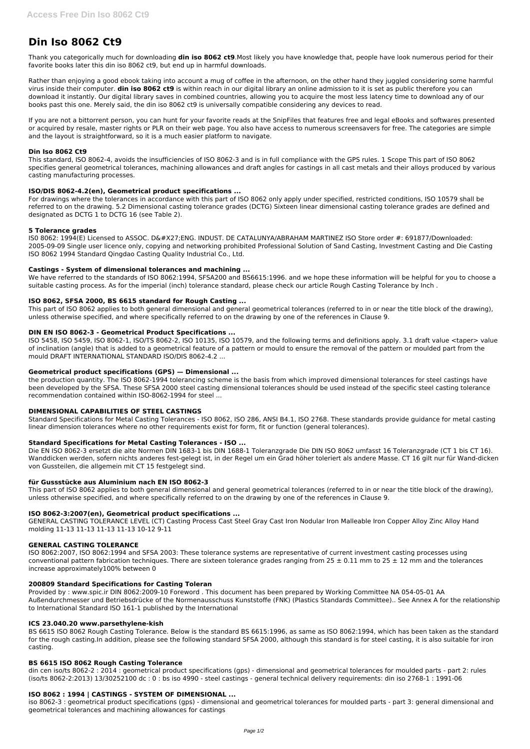# **Din Iso 8062 Ct9**

Thank you categorically much for downloading **din iso 8062 ct9**.Most likely you have knowledge that, people have look numerous period for their favorite books later this din iso 8062 ct9, but end up in harmful downloads.

Rather than enjoying a good ebook taking into account a mug of coffee in the afternoon, on the other hand they juggled considering some harmful virus inside their computer. **din iso 8062 ct9** is within reach in our digital library an online admission to it is set as public therefore you can download it instantly. Our digital library saves in combined countries, allowing you to acquire the most less latency time to download any of our books past this one. Merely said, the din iso 8062 ct9 is universally compatible considering any devices to read.

If you are not a bittorrent person, you can hunt for your favorite reads at the SnipFiles that features free and legal eBooks and softwares presented or acquired by resale, master rights or PLR on their web page. You also have access to numerous screensavers for free. The categories are simple and the layout is straightforward, so it is a much easier platform to navigate.

IS0 8062: 1994(E) Licensed to ASSOC. D'ENG. INDUST. DE CATALUNYA/ABRAHAM MARTINEZ ISO Store order #: 691877/Downloaded: 2005-09-09 Single user licence only, copying and networking prohibited Professional Solution of Sand Casting, Investment Casting and Die Casting ISO 8062 1994 Standard Qingdao Casting Quality Industrial Co., Ltd.

#### **Din Iso 8062 Ct9**

This standard, ISO 8062-4, avoids the insufficiencies of ISO 8062-3 and is in full compliance with the GPS rules. 1 Scope This part of ISO 8062 specifies general geometrical tolerances, machining allowances and draft angles for castings in all cast metals and their alloys produced by various casting manufacturing processes.

# **ISO/DIS 8062-4.2(en), Geometrical product specifications ...**

For drawings where the tolerances in accordance with this part of ISO 8062 only apply under specified, restricted conditions, ISO 10579 shall be referred to on the drawing. 5.2 Dimensional casting tolerance grades (DCTG) Sixteen linear dimensional casting tolerance grades are defined and designated as DCTG 1 to DCTG 16 (see Table 2).

# **5 Tolerance grades**

# **Castings - System of dimensional tolerances and machining ...**

We have referred to the standards of ISO 8062:1994, SFSA200 and BS6615:1996. and we hope these information will be helpful for you to choose a suitable casting process. As for the imperial (inch) tolerance standard, please check our article Rough Casting Tolerance by Inch .

ISO 8062:2007, ISO 8062:1994 and SFSA 2003: These tolerance systems are representative of current investment casting processes using conventional pattern fabrication techniques. There are sixteen tolerance grades ranging from  $25 \pm 0.11$  mm to  $25 \pm 12$  mm and the tolerances

# **ISO 8062, SFSA 2000, BS 6615 standard for Rough Casting ...**

This part of ISO 8062 applies to both general dimensional and general geometrical tolerances (referred to in or near the title block of the drawing), unless otherwise specified, and where specifically referred to on the drawing by one of the references in Clause 9.

#### **DIN EN ISO 8062-3 - Geometrical Product Specifications ...**

ISO 5458, ISO 5459, ISO 8062-1, ISO/TS 8062-2, ISO 10135, ISO 10579, and the following terms and definitions apply. 3.1 draft value <taper> value of inclination (angle) that is added to a geometrical feature of a pattern or mould to ensure the removal of the pattern or moulded part from the mould DRAFT INTERNATIONAL STANDARD ISO/DIS 8062-4.2 ...

#### **Geometrical product specifications (GPS) — Dimensional ...**

the production quantity. The ISO 8062-1994 tolerancing scheme is the basis from which improved dimensional tolerances for steel castings have been developed by the SFSA. These SFSA 2000 steel casting dimensional tolerances should be used instead of the specific steel casting tolerance recommendation contained within ISO-8062-1994 for steel ...

#### **DIMENSIONAL CAPABILITIES OF STEEL CASTINGS**

Standard Specifications for Metal Casting Tolerances - ISO 8062, ISO 286, ANSI B4.1, ISO 2768. These standards provide guidance for metal casting linear dimension tolerances where no other requirements exist for form, fit or function (general tolerances).

#### **Standard Specifications for Metal Casting Tolerances - ISO ...**

Die EN ISO 8062-3 ersetzt die alte Normen DIN 1683-1 bis DIN 1688-1 Toleranzgrade Die DIN ISO 8062 umfasst 16 Toleranzgrade (CT 1 bis CT 16). Wanddicken werden, sofern nichts anderes fest-gelegt ist, in der Regel um ein Grad höher toleriert als andere Masse. CT 16 gilt nur für Wand-dicken von Gussteilen, die allgemein mit CT 15 festgelegt sind.

#### **für Gussstücke aus Aluminium nach EN ISO 8062-3**

This part of ISO 8062 applies to both general dimensional and general geometrical tolerances (referred to in or near the title block of the drawing), unless otherwise specified, and where specifically referred to on the drawing by one of the references in Clause 9.

# **ISO 8062-3:2007(en), Geometrical product specifications ...**

GENERAL CASTING TOLERANCE LEVEL (CT) Casting Process Cast Steel Gray Cast Iron Nodular Iron Malleable Iron Copper Alloy Zinc Alloy Hand molding 11-13 11-13 11-13 11-13 10-12 9-11

#### **GENERAL CASTING TOLERANCE**

#### **200809 Standard Specifications for Casting Toleran**

Provided by : www.spic.ir DIN 8062:2009-10 Foreword . This document has been prepared by Working Committee NA 054-05-01 AA Außendurchmesser und Betriebsdrücke of the Normenausschuss Kunststoffe (FNK) (Plastics Standards Committee).. See Annex A for the relationship to International Standard ISO 161-1 published by the International

#### **ICS 23.040.20 www.parsethylene-kish**

BS 6615 ISO 8062 Rough Casting Tolerance. Below is the standard BS 6615:1996, as same as ISO 8062:1994, which has been taken as the standard for the rough casting.In addition, please see the following standard SFSA 2000, although this standard is for steel casting, it is also suitable for iron casting.

#### **BS 6615 ISO 8062 Rough Casting Tolerance**

din cen iso/ts 8062-2 : 2014 : geometrical product specifications (gps) - dimensional and geometrical tolerances for moulded parts - part 2: rules (iso/ts 8062-2:2013) 13/30252100 dc : 0 : bs iso 4990 - steel castings - general technical delivery requirements: din iso 2768-1 : 1991-06

# **ISO 8062 : 1994 | CASTINGS - SYSTEM OF DIMENSIONAL ...**

iso 8062-3 : geometrical product specifications (gps) - dimensional and geometrical tolerances for moulded parts - part 3: general dimensional and geometrical tolerances and machining allowances for castings